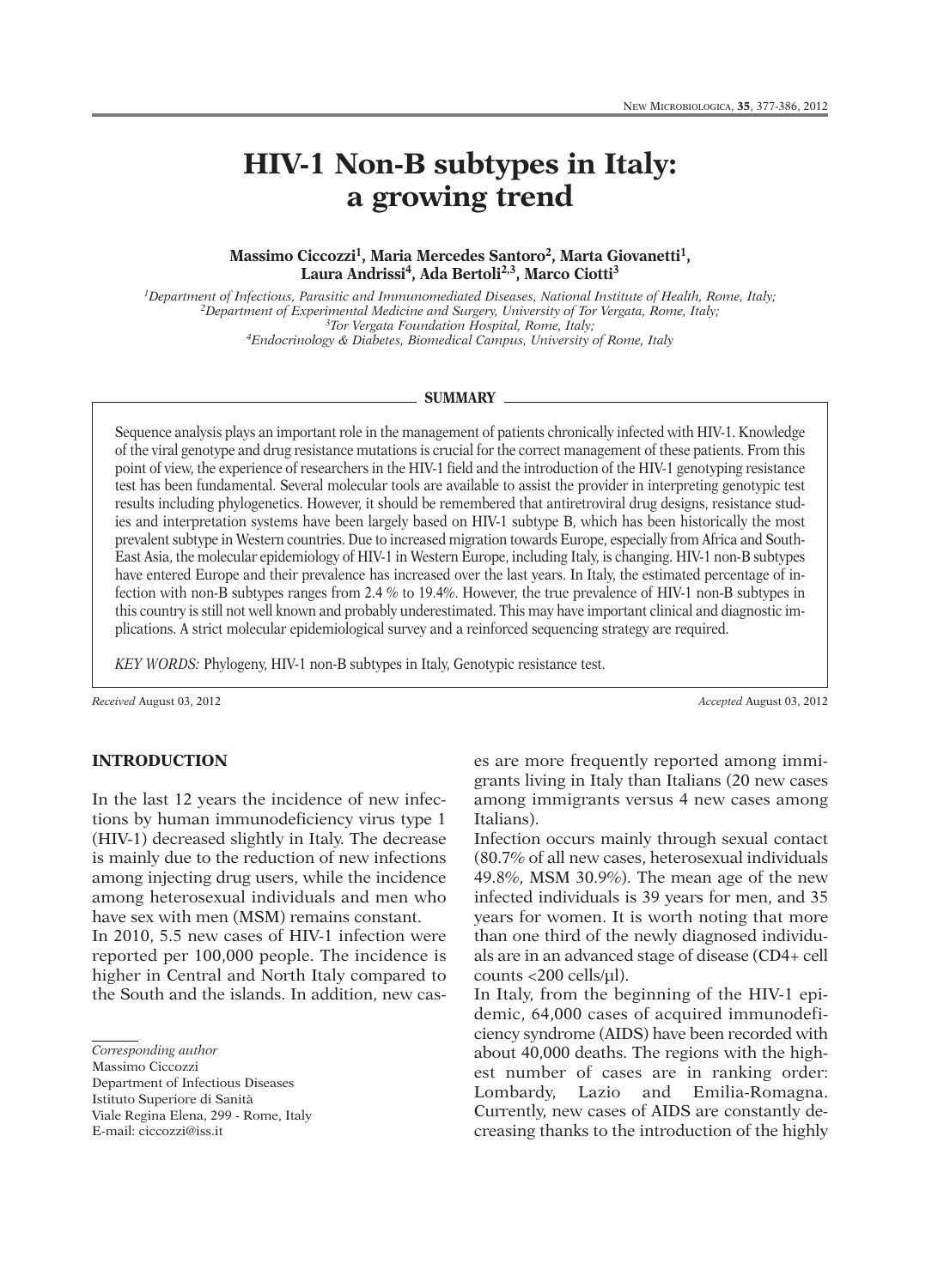# **HIV-1 Non-B subtypes in Italy: a growing trend**

#### **Massimo Ciccozzi 1, Maria Mercedes Santoro2, Marta Giovanetti 1, Laura Andrissi 4, Ada Bertoli 2,3, Marco Ciotti 3**

*1Department of Infectious, Parasitic and Immunomediated Diseases, National Institute of Health, Rome, Italy; 2Department of Experimental Medicine and Surgery, University of Tor Vergata, Rome, Italy; 3Tor Vergata Foundation Hospital, Rome, Italy; 4Endocrinology & Diabetes, Biomedical Campus, University of Rome, Italy*

#### **SUMMARY**

Sequence analysis plays an important role in the management of patients chronically infected with HIV-1. Knowledge of the viral genotype and drug resistance mutations is crucial for the correct management of these patients. From this point of view, the experience of researchers in the HIV-1 field and the introduction of the HIV-1 genotyping resistance test has been fundamental. Several molecular tools are available to assist the provider in interpreting genotypic test results including phylogenetics. However, it should be remembered that antiretroviral drug designs, resistance studies and interpretation systems have been largely based on HIV-1 subtype B, which has been historically the most prevalent subtype in Western countries. Due to increased migration towards Europe, especially from Africa and South-East Asia, the molecular epidemiology of HIV-1 in Western Europe, including Italy, is changing. HIV-1 non-B subtypes have entered Europe and their prevalence has increased over the last years. In Italy, the estimated percentage of infection with non-B subtypes ranges from 2.4 % to 19.4%. However, the true prevalence of HIV-1 non-B subtypes in this country is still not well known and probably underestimated. This may have important clinical and diagnostic implications. A strict molecular epidemiological survey and a reinforced sequencing strategy are required.

*KEY WORDS:* Phylogeny, HIV-1 non-B subtypes in Italy, Genotypic resistance test.

*Received* August 03, 2012 *Accepted* August 03, 2012

#### **INTRODUCTION**

In the last 12 years the incidence of new infections by human immunodeficiency virus type 1 (HIV-1) decreased slightly in Italy. The decrease is mainly due to the reduction of new infections among injecting drug users, while the incidence among heterosexual individuals and men who have sex with men (MSM) remains constant.

In 2010, 5.5 new cases of HIV-1 infection were reported per 100,000 people. The incidence is higher in Central and North Italy compared to the South and the islands. In addition, new cas-

Massimo Ciccozzi

Department of Infectious Diseases Istituto Superiore di Sanità Viale Regina Elena, 299 - Rome, Italy E-mail: ciccozzi@iss.it

es are more frequently reported among immigrants living in Italy than Italians (20 new cases among immigrants versus 4 new cases among Italians).

Infection occurs mainly through sexual contact (80.7% of all new cases, heterosexual individuals 49.8%, MSM 30.9%). The mean age of the new infected individuals is 39 years for men, and 35 years for women. It is worth noting that more than one third of the newly diagnosed individuals are in an advanced stage of disease (CD4+ cell counts <200 cells/µl).

In Italy, from the beginning of the HIV-1 epidemic, 64,000 cases of acquired immunodeficiency syndrome (AIDS) have been recorded with about 40,000 deaths. The regions with the highest number of cases are in ranking order: Lombardy, Lazio and Emilia-Romagna. Currently, new cases of AIDS are constantly decreasing thanks to the introduction of the highly

*Corresponding author*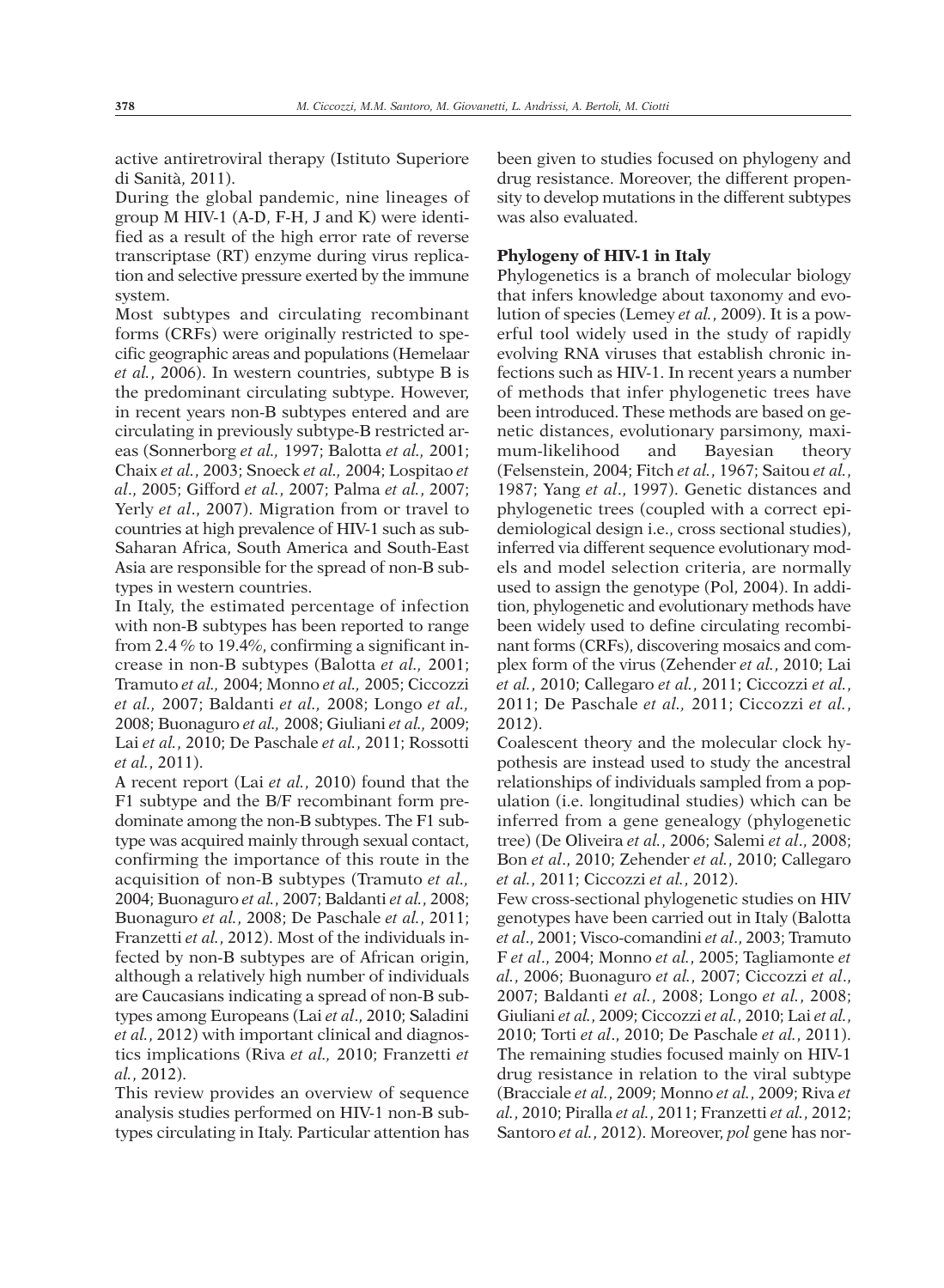active antiretroviral therapy (Istituto Superiore di Sanità, 2011).

During the global pandemic, nine lineages of group M HIV-1 (A-D, F-H, J and K) were identified as a result of the high error rate of reverse transcriptase (RT) enzyme during virus replication and selective pressure exerted by the immune system.

Most subtypes and circulating recombinant forms (CRFs) were originally restricted to specific geographic areas and populations (Hemelaar *et al.*, 2006). In western countries, subtype B is the predominant circulating subtype. However, in recent years non-B subtypes entered and are circulating in previously subtype-B restricted areas (Sonnerborg *et al.,* 1997; Balotta *et al.,* 2001; Chaix *et al.*, 2003; Snoeck *et al.,* 2004; Lospitao *et al*., 2005; Gifford *et al.*, 2007; Palma *et al.*, 2007; Yerly *et al*., 2007). Migration from or travel to countries at high prevalence of HIV-1 such as sub-Saharan Africa, South America and South-East Asia are responsible for the spread of non-B subtypes in western countries.

In Italy, the estimated percentage of infection with non-B subtypes has been reported to range from 2.4 % to 19.4%, confirming a significant increase in non-B subtypes (Balotta *et al.,* 2001; Tramuto *et al.,* 2004; Monno *et al.,* 2005; Ciccozzi *et al.,* 2007; Baldanti *et al.,* 2008; Longo *et al.,* 2008; Buonaguro *et al.,* 2008; Giuliani *et al.,* 2009; Lai *et al.*, 2010; De Paschale *et al.*, 2011; Rossotti *et al.*, 2011).

A recent report (Lai *et al.*, 2010) found that the F1 subtype and the B/F recombinant form predominate among the non-B subtypes. The F1 subtype was acquired mainly through sexual contact, confirming the importance of this route in the acquisition of non-B subtypes (Tramuto *et al.,* 2004; Buonaguro *et al.*, 2007; Baldanti *et al.*, 2008; Buonaguro *et al.*, 2008; De Paschale *et al.*, 2011; Franzetti *et al.*, 2012). Most of the individuals infected by non-B subtypes are of African origin, although a relatively high number of individuals are Caucasians indicating a spread of non-B subtypes among Europeans (Lai *et al*., 2010; Saladini *et al.*, 2012) with important clinical and diagnostics implications (Riva *et al.,* 2010; Franzetti *et al.*, 2012).

This review provides an overview of sequence analysis studies performed on HIV-1 non-B subtypes circulating in Italy. Particular attention has been given to studies focused on phylogeny and drug resistance. Moreover, the different propensity to develop mutations in the different subtypes was also evaluated.

#### **Phylogeny of HIV-1 in Italy**

Phylogenetics is a branch of molecular biology that infers knowledge about taxonomy and evolution of species (Lemey *et al.*, 2009). It is a powerful tool widely used in the study of rapidly evolving RNA viruses that establish chronic infections such as HIV-1. In recent years a number of methods that infer phylogenetic trees have been introduced. These methods are based on genetic distances, evolutionary parsimony, maximum-likelihood and Bayesian theory (Felsenstein, 2004; Fitch *et al.*, 1967; Saitou *et al.*, 1987; Yang *et al*., 1997). Genetic distances and phylogenetic trees (coupled with a correct epidemiological design i.e., cross sectional studies), inferred via different sequence evolutionary models and model selection criteria, are normally used to assign the genotype (Pol, 2004). In addition, phylogenetic and evolutionary methods have been widely used to define circulating recombinant forms (CRFs), discovering mosaics and complex form of the virus (Zehender *et al.*, 2010; Lai *et al.*, 2010; Callegaro *et al.*, 2011; Ciccozzi *et al.*, 2011; De Paschale *et al.,* 2011; Ciccozzi *et al.*, 2012).

Coalescent theory and the molecular clock hypothesis are instead used to study the ancestral relationships of individuals sampled from a population (i.e. longitudinal studies) which can be inferred from a gene genealogy (phylogenetic tree) (De Oliveira *et al.*, 2006; Salemi *et al*., 2008; Bon *et al*., 2010; Zehender *et al.*, 2010; Callegaro *et al.*, 2011; Ciccozzi *et al.*, 2012).

Few cross-sectional phylogenetic studies on HIV genotypes have been carried out in Italy (Balotta *et al*., 2001; Visco-comandini *et al*., 2003; Tramuto F *et al*., 2004; Monno *et al.*, 2005; Tagliamonte *et al.*, 2006; Buonaguro *et al.*, 2007; Ciccozzi *et al*., 2007; Baldanti *et al.*, 2008; Longo *et al.*, 2008; Giuliani *et al.*, 2009; Ciccozzi *et al.*, 2010; Lai *et al.*, 2010; Torti *et al*., 2010; De Paschale *et al.*, 2011). The remaining studies focused mainly on HIV-1 drug resistance in relation to the viral subtype (Bracciale *et al.*, 2009; Monno *et al.*, 2009; Riva *et al.*, 2010; Piralla *et al.*, 2011; Franzetti *et al.*, 2012; Santoro *et al.*, 2012). Moreover, *pol* gene has nor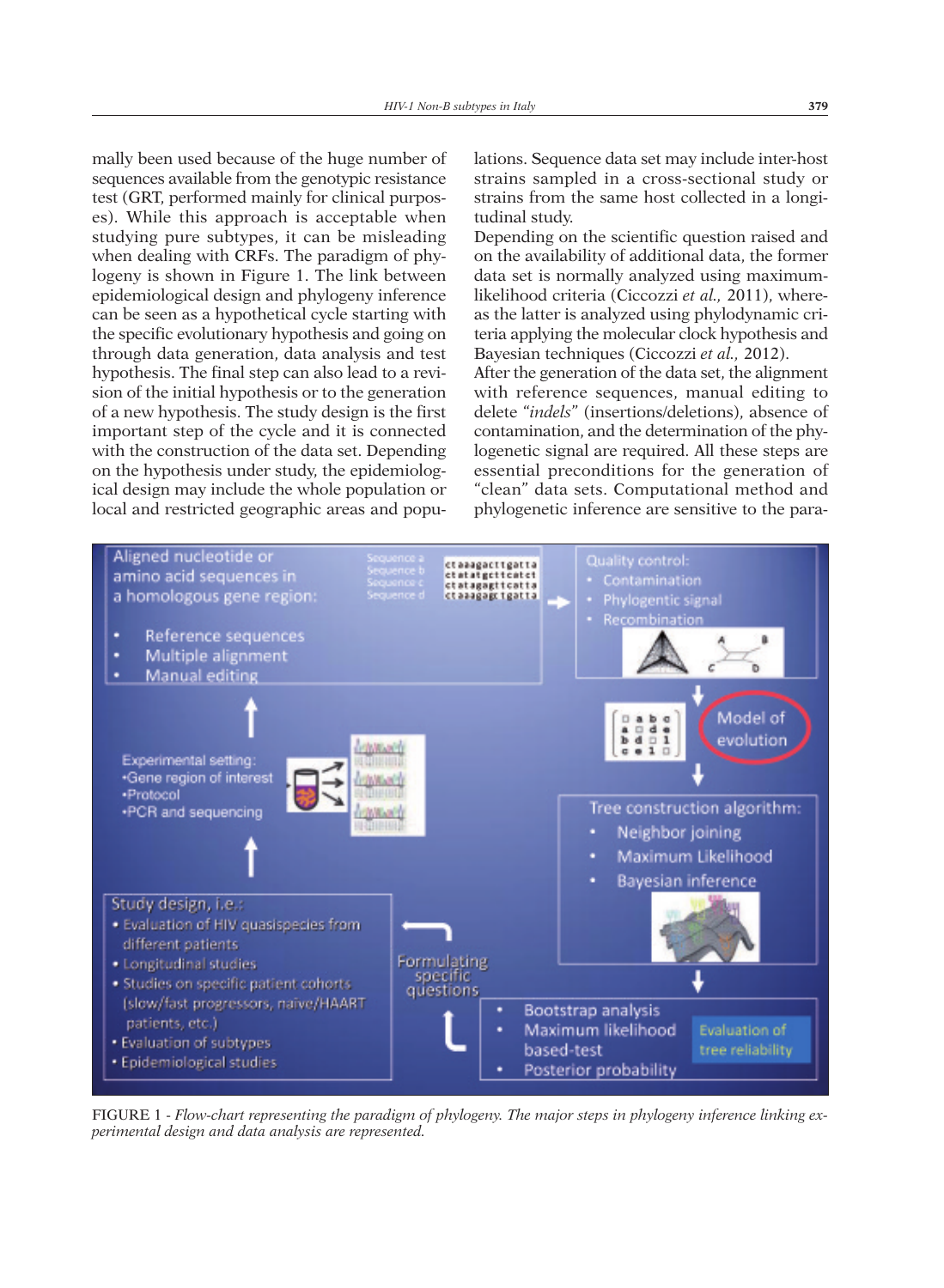mally been used because of the huge number of sequences available from the genotypic resistance test (GRT, performed mainly for clinical purposes). While this approach is acceptable when studying pure subtypes, it can be misleading when dealing with CRFs. The paradigm of phylogeny is shown in Figure 1. The link between epidemiological design and phylogeny inference can be seen as a hypothetical cycle starting with the specific evolutionary hypothesis and going on through data generation, data analysis and test hypothesis. The final step can also lead to a revision of the initial hypothesis or to the generation of a new hypothesis. The study design is the first important step of the cycle and it is connected with the construction of the data set. Depending on the hypothesis under study, the epidemiological design may include the whole population or local and restricted geographic areas and populations. Sequence data set may include inter-host strains sampled in a cross-sectional study or strains from the same host collected in a longitudinal study.

Depending on the scientific question raised and on the availability of additional data, the former data set is normally analyzed using maximumlikelihood criteria (Ciccozzi *et al.,* 2011), whereas the latter is analyzed using phylodynamic criteria applying the molecular clock hypothesis and Bayesian techniques (Ciccozzi *et al.,* 2012).

After the generation of the data set, the alignment with reference sequences, manual editing to delete "*indels*" (insertions/deletions), absence of contamination, and the determination of the phylogenetic signal are required. All these steps are essential preconditions for the generation of "clean" data sets. Computational method and phylogenetic inference are sensitive to the para-



FIGURE 1 - *Flow-chart representing the paradigm of phylogeny. The major steps in phylogeny inference linking experimental design and data analysis are represented.*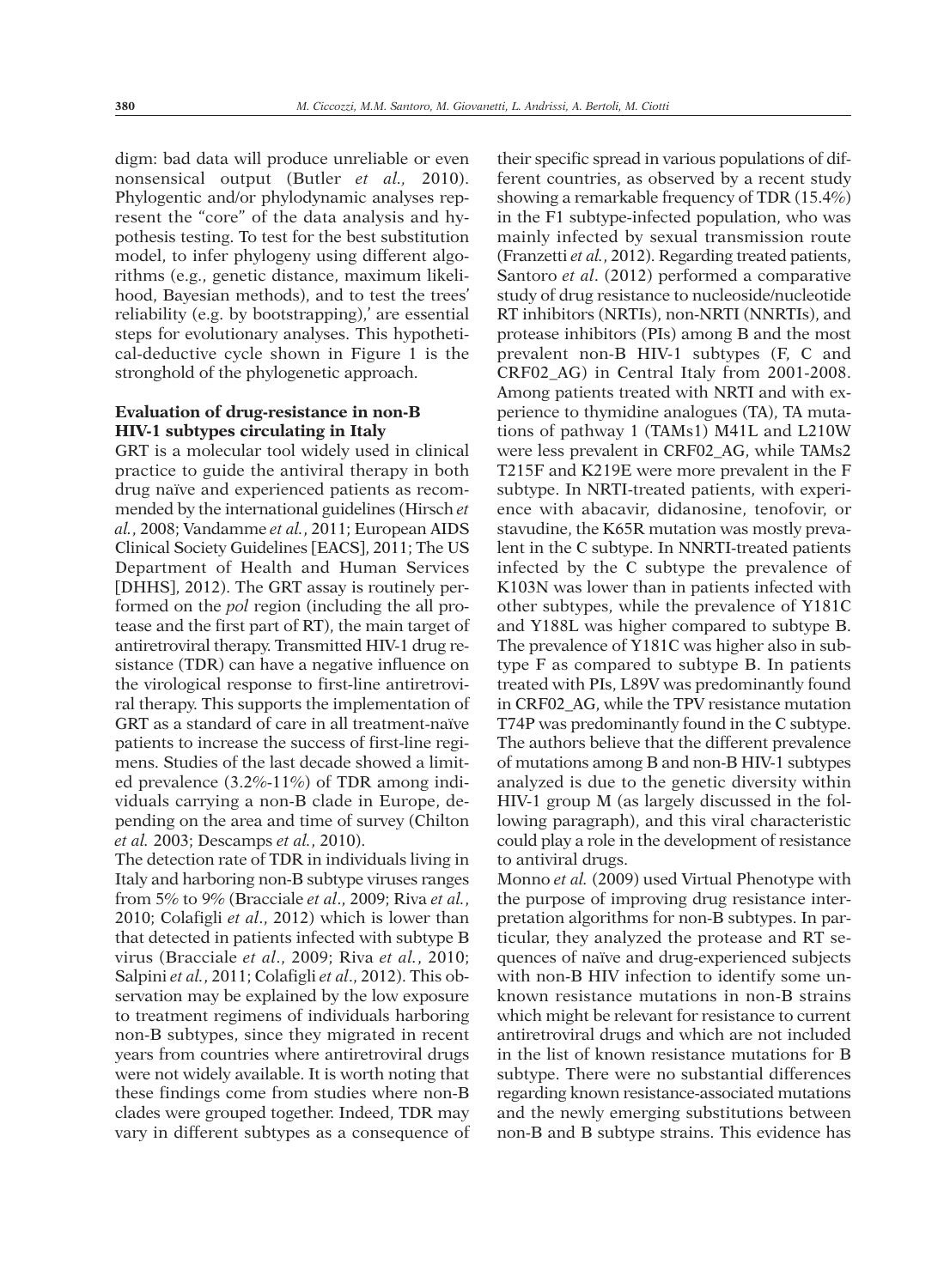digm: bad data will produce unreliable or even nonsensical output (Butler *et al.,* 2010). Phylogentic and/or phylodynamic analyses represent the "core" of the data analysis and hypothesis testing. To test for the best substitution model, to infer phylogeny using different algorithms (e.g., genetic distance, maximum likelihood, Bayesian methods), and to test the trees' reliability (e.g. by bootstrapping),' are essential steps for evolutionary analyses. This hypothetical-deductive cycle shown in Figure 1 is the stronghold of the phylogenetic approach.

## **Evaluation of drug-resistance in non-B HIV-1 subtypes circulating in Italy**

GRT is a molecular tool widely used in clinical practice to guide the antiviral therapy in both drug naïve and experienced patients as recommended by the international guidelines (Hirsch *et al.*, 2008; Vandamme *et al.*, 2011; European AIDS Clinical Society Guidelines [EACS], 2011; The US Department of Health and Human Services [DHHS], 2012). The GRT assay is routinely performed on the *pol* region (including the all protease and the first part of RT), the main target of antiretroviral therapy. Transmitted HIV-1 drug resistance (TDR) can have a negative influence on the virological response to first-line antiretroviral therapy. This supports the implementation of GRT as a standard of care in all treatment-naïve patients to increase the success of first-line regimens. Studies of the last decade showed a limited prevalence (3.2%-11%) of TDR among individuals carrying a non-B clade in Europe, depending on the area and time of survey (Chilton *et al.* 2003; Descamps *et al.*, 2010).

The detection rate of TDR in individuals living in Italy and harboring non-B subtype viruses ranges from 5% to 9% (Bracciale *et al*., 2009; Riva *et al.*, 2010; Colafigli *et al*., 2012) which is lower than that detected in patients infected with subtype B virus (Bracciale *et al*., 2009; Riva *et al.*, 2010; Salpini *et al.*, 2011; Colafigli *et al*., 2012). This observation may be explained by the low exposure to treatment regimens of individuals harboring non-B subtypes, since they migrated in recent years from countries where antiretroviral drugs were not widely available. It is worth noting that these findings come from studies where non-B clades were grouped together. Indeed, TDR may vary in different subtypes as a consequence of

their specific spread in various populations of different countries, as observed by a recent study showing a remarkable frequency of TDR (15.4%) in the F1 subtype-infected population, who was mainly infected by sexual transmission route (Franzetti *et al.*, 2012). Regarding treated patients, Santoro *et al*. (2012) performed a comparative study of drug resistance to nucleoside/nucleotide RT inhibitors (NRTIs), non-NRTI (NNRTIs), and protease inhibitors (PIs) among B and the most prevalent non-B HIV-1 subtypes (F, C and CRF02\_AG) in Central Italy from 2001-2008. Among patients treated with NRTI and with experience to thymidine analogues (TA), TA mutations of pathway 1 (TAMs1) M41L and L210W were less prevalent in CRF02\_AG, while TAMs2 T215F and K219E were more prevalent in the F subtype. In NRTI-treated patients, with experience with abacavir, didanosine, tenofovir, or stavudine, the K65R mutation was mostly prevalent in the C subtype. In NNRTI-treated patients infected by the C subtype the prevalence of K103N was lower than in patients infected with other subtypes, while the prevalence of Y181C and Y188L was higher compared to subtype B. The prevalence of Y181C was higher also in subtype F as compared to subtype B. In patients treated with PIs, L89V was predominantly found in CRF02\_AG, while the TPV resistance mutation T74P was predominantly found in the C subtype. The authors believe that the different prevalence of mutations among B and non-B HIV-1 subtypes analyzed is due to the genetic diversity within HIV-1 group M (as largely discussed in the following paragraph), and this viral characteristic could play a role in the development of resistance to antiviral drugs.

Monno *et al.* (2009) used Virtual Phenotype with the purpose of improving drug resistance interpretation algorithms for non-B subtypes. In particular, they analyzed the protease and RT sequences of naïve and drug-experienced subjects with non-B HIV infection to identify some unknown resistance mutations in non-B strains which might be relevant for resistance to current antiretroviral drugs and which are not included in the list of known resistance mutations for B subtype. There were no substantial differences regarding known resistance-associated mutations and the newly emerging substitutions between non-B and B subtype strains. This evidence has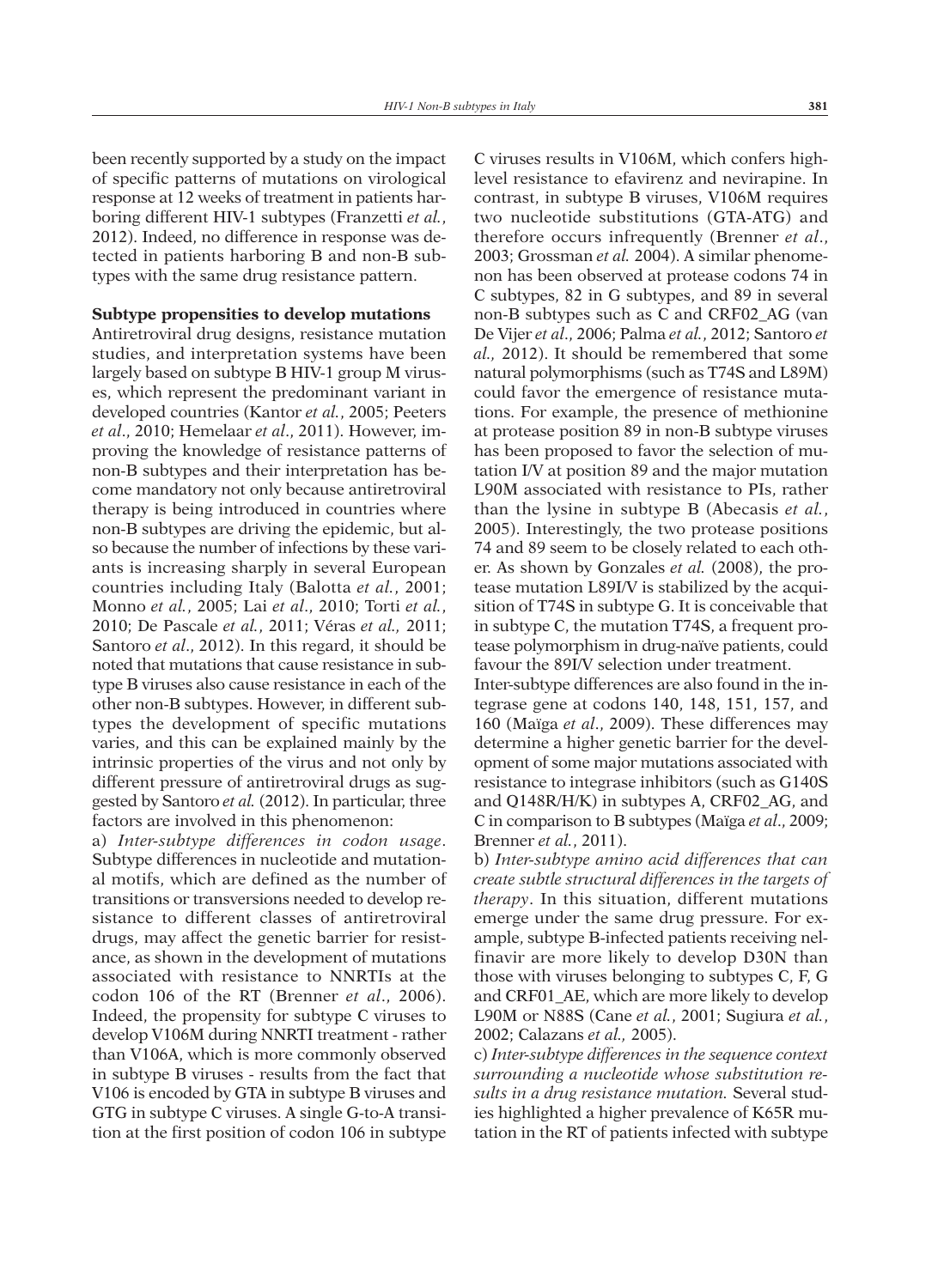been recently supported by a study on the impact of specific patterns of mutations on virological response at 12 weeks of treatment in patients harboring different HIV-1 subtypes (Franzetti *et al.*, 2012). Indeed, no difference in response was detected in patients harboring B and non-B subtypes with the same drug resistance pattern.

#### **Subtype propensities to develop mutations**

Antiretroviral drug designs, resistance mutation studies, and interpretation systems have been largely based on subtype B HIV-1 group M viruses, which represent the predominant variant in developed countries (Kantor *et al.*, 2005; Peeters *et al*., 2010; Hemelaar *et al*., 2011). However, improving the knowledge of resistance patterns of non-B subtypes and their interpretation has become mandatory not only because antiretroviral therapy is being introduced in countries where non-B subtypes are driving the epidemic, but also because the number of infections by these variants is increasing sharply in several European countries including Italy (Balotta *et al.*, 2001; Monno *et al.*, 2005; Lai *et al*., 2010; Torti *et al.*, 2010; De Pascale *et al.*, 2011; Véras *et al.,* 2011; Santoro *et al*., 2012). In this regard, it should be noted that mutations that cause resistance in subtype B viruses also cause resistance in each of the other non-B subtypes. However, in different subtypes the development of specific mutations varies, and this can be explained mainly by the intrinsic properties of the virus and not only by different pressure of antiretroviral drugs as suggested by Santoro *et al.* (2012). In particular, three factors are involved in this phenomenon:

a) *Inter-subtype differences in codon usage*. Subtype differences in nucleotide and mutational motifs, which are defined as the number of transitions or transversions needed to develop resistance to different classes of antiretroviral drugs, may affect the genetic barrier for resistance, as shown in the development of mutations associated with resistance to NNRTIs at the codon 106 of the RT (Brenner *et al*., 2006). Indeed, the propensity for subtype C viruses to develop V106M during NNRTI treatment - rather than V106A, which is more commonly observed in subtype B viruses - results from the fact that V106 is encoded by GTA in subtype B viruses and GTG in subtype C viruses. A single G-to-A transition at the first position of codon 106 in subtype

C viruses results in V106M, which confers highlevel resistance to efavirenz and nevirapine. In contrast, in subtype B viruses, V106M requires two nucleotide substitutions (GTA-ATG) and therefore occurs infrequently (Brenner *et al*., 2003; Grossman *et al.* 2004). A similar phenomenon has been observed at protease codons 74 in C subtypes, 82 in G subtypes, and 89 in several non-B subtypes such as C and CRF02\_AG (van De Vijer *et al*., 2006; Palma *et al.*, 2012; Santoro *et al.,* 2012). It should be remembered that some natural polymorphisms (such as T74S and L89M) could favor the emergence of resistance mutations. For example, the presence of methionine at protease position 89 in non-B subtype viruses has been proposed to favor the selection of mutation I/V at position 89 and the major mutation L90M associated with resistance to PIs, rather than the lysine in subtype B (Abecasis *et al.*, 2005). Interestingly, the two protease positions 74 and 89 seem to be closely related to each other. As shown by Gonzales *et al.* (2008), the protease mutation L89I/V is stabilized by the acquisition of T74S in subtype G. It is conceivable that in subtype C, the mutation T74S, a frequent protease polymorphism in drug-naïve patients, could favour the 89I/V selection under treatment.

Inter-subtype differences are also found in the integrase gene at codons 140, 148, 151, 157, and 160 (Maïga *et al*., 2009). These differences may determine a higher genetic barrier for the development of some major mutations associated with resistance to integrase inhibitors (such as G140S and Q148R/H/K) in subtypes A, CRF02\_AG, and C in comparison to B subtypes (Maïga *et al*., 2009; Brenner *et al.*, 2011).

b) *Inter-subtype amino acid differences that can create subtle structural differences in the targets of therapy*. In this situation, different mutations emerge under the same drug pressure. For example, subtype B-infected patients receiving nelfinavir are more likely to develop D30N than those with viruses belonging to subtypes C, F, G and CRF01\_AE, which are more likely to develop L90M or N88S (Cane *et al.*, 2001; Sugiura *et al.*, 2002; Calazans *et al.,* 2005).

c) *Inter-subtype differences in the sequence context surrounding a nucleotide whose substitution results in a drug resistance mutation.* Several studies highlighted a higher prevalence of K65R mutation in the RT of patients infected with subtype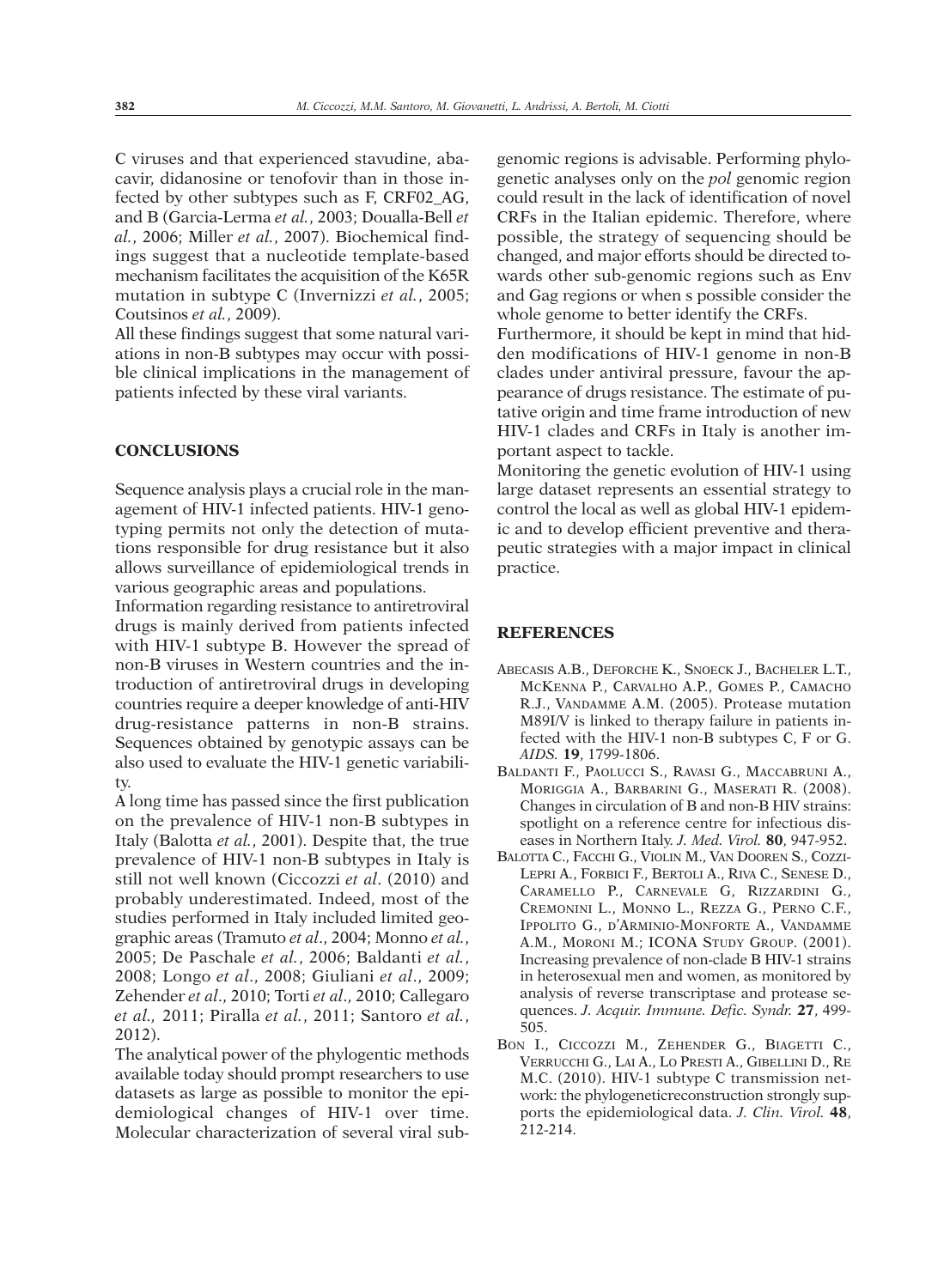C viruses and that experienced stavudine, abacavir, didanosine or tenofovir than in those infected by other subtypes such as F, CRF02\_AG, and B (Garcia-Lerma *et al.*, 2003; Doualla-Bell *et al.*, 2006; Miller *et al.*, 2007). Biochemical findings suggest that a nucleotide template-based mechanism facilitates the acquisition of the K65R mutation in subtype C (Invernizzi *et al.*, 2005; Coutsinos *et al.*, 2009).

All these findings suggest that some natural variations in non-B subtypes may occur with possible clinical implications in the management of patients infected by these viral variants.

#### **CONCLUSIONS**

Sequence analysis plays a crucial role in the management of HIV-1 infected patients. HIV-1 genotyping permits not only the detection of mutations responsible for drug resistance but it also allows surveillance of epidemiological trends in various geographic areas and populations.

Information regarding resistance to antiretroviral drugs is mainly derived from patients infected with HIV-1 subtype B. However the spread of non-B viruses in Western countries and the introduction of antiretroviral drugs in developing countries require a deeper knowledge of anti-HIV drug-resistance patterns in non-B strains. Sequences obtained by genotypic assays can be also used to evaluate the HIV-1 genetic variability.

A long time has passed since the first publication on the prevalence of HIV-1 non-B subtypes in Italy (Balotta *et al.*, 2001). Despite that, the true prevalence of HIV-1 non-B subtypes in Italy is still not well known (Ciccozzi *et al*. (2010) and probably underestimated. Indeed, most of the studies performed in Italy included limited geographic areas (Tramuto *et al*., 2004; Monno *et al.*, 2005; De Paschale *et al.*, 2006; Baldanti *et al.*, 2008; Longo *et al*., 2008; Giuliani *et al*., 2009; Zehender *et al*., 2010; Torti *et al*., 2010; Callegaro *et al.,* 2011; Piralla *et al.*, 2011; Santoro *et al.*, 2012).

The analytical power of the phylogentic methods available today should prompt researchers to use datasets as large as possible to monitor the epidemiological changes of HIV-1 over time. Molecular characterization of several viral subgenomic regions is advisable. Performing phylogenetic analyses only on the *pol* genomic region could result in the lack of identification of novel CRFs in the Italian epidemic. Therefore, where possible, the strategy of sequencing should be changed, and major efforts should be directed towards other sub-genomic regions such as Env and Gag regions or when s possible consider the whole genome to better identify the CRFs.

Furthermore, it should be kept in mind that hidden modifications of HIV-1 genome in non-B clades under antiviral pressure, favour the appearance of drugs resistance. The estimate of putative origin and time frame introduction of new HIV-1 clades and CRFs in Italy is another important aspect to tackle.

Monitoring the genetic evolution of HIV-1 using large dataset represents an essential strategy to control the local as well as global HIV-1 epidemic and to develop efficient preventive and therapeutic strategies with a major impact in clinical practice.

### **REFERENCES**

- ABECASIS A.B., DEFORCHE K., SNOECK J., BACHELER L.T., MCKENNA P., CARVALHO A.P., GOMES P., CAMACHO R.J., VANDAMME A.M. (2005). Protease mutation M89I/V is linked to therapy failure in patients infected with the HIV-1 non-B subtypes C, F or G. *AIDS.* **19**, 1799-1806.
- BALDANTI F., PAOLUCCI S., RAVASI G., MACCABRUNI A., MORIGGIA A., BARBARINI G., MASERATI R. (2008). Changes in circulation of B and non-B HIV strains: spotlight on a reference centre for infectious diseases in Northern Italy. *J. Med. Virol.* **80**, 947-952.
- BALOTTA C., FACCHI G., VIOLIN M., VAN DOOREN S., COZZI-LEPRI A., FORBICI F., BERTOLI A., RIVA C., SENESE D., CARAMELLO P., CARNEVALE G, RIZZARDINI G., CREMONINI L., MONNO L., REZZA G., PERNO C.F., IPPOLITO G., D'ARMINIO-MONFORTE A., VANDAMME A.M., MORONI M.; ICONA STUDY GROUP. (2001). Increasing prevalence of non-clade B HIV-1 strains in heterosexual men and women, as monitored by analysis of reverse transcriptase and protease sequences. *J. Acquir. Immune. Defic. Syndr.* **27**, 499- 505.
- BON I., CICCOZZI M., ZEHENDER G., BIAGETTI C., VERRUCCHI G., LAI A., LO PRESTI A., GIBELLINI D., RE M.C. (2010). HIV-1 subtype C transmission network: the phylogeneticreconstruction strongly supports the epidemiological data. *J. Clin. Virol.* **48**, 212-214.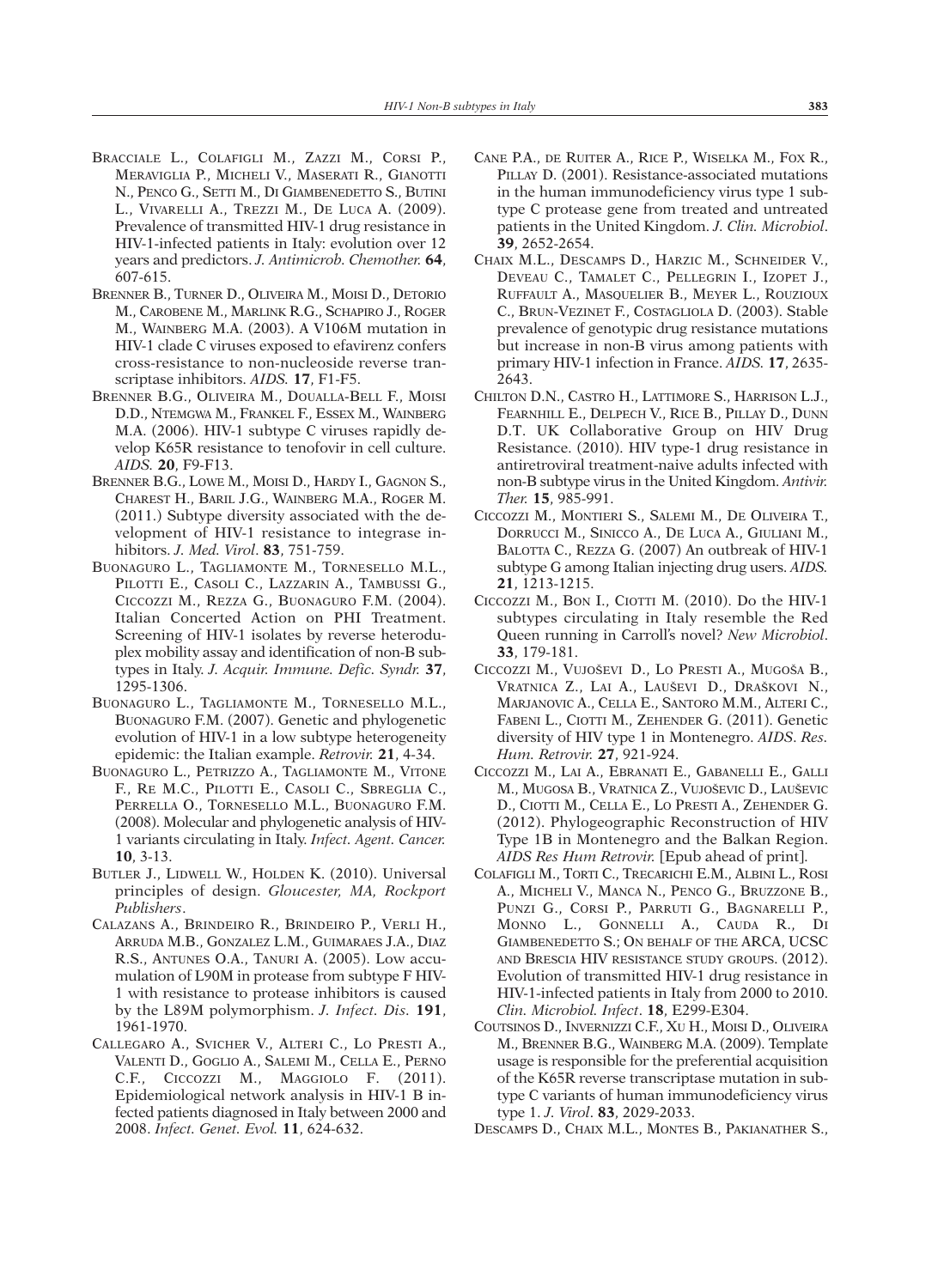- BRACCIALE L., COLAFIGLI M., ZAZZI M., CORSI P., MERAVIGLIA P., MICHELI V., MASERATI R., GIANOTTI N., PENCO G., SETTI M., DI GIAMBENEDETTO S., BUTINI L., VIVARELLI A., TREZZI M., DE LUCA A. (2009). Prevalence of transmitted HIV-1 drug resistance in HIV-1-infected patients in Italy: evolution over 12 years and predictors. *J. Antimicrob. Chemother.* **64**, 607-615.
- BRENNER B., TURNER D., OLIVEIRA M., MOISI D., DETORIO M., CAROBENE M., MARLINK R.G., SCHAPIRO J., ROGER M., WAINBERG M.A. (2003). A V106M mutation in HIV-1 clade C viruses exposed to efavirenz confers cross-resistance to non-nucleoside reverse transcriptase inhibitors. *AIDS.* **17**, F1-F5.
- BRENNER B.G., OLIVEIRA M., DOUALLA-BELL F., MOISI D.D., NTEMGWA M., FRANKEL F., ESSEX M., WAINBERG M.A. (2006). HIV-1 subtype C viruses rapidly develop K65R resistance to tenofovir in cell culture. *AIDS.* **20**, F9-F13.
- BRENNER B.G., LOWE M., MOISI D., HARDY I., GAGNON S., CHAREST H., BARIL J.G., WAINBERG M.A., ROGER M. (2011.) Subtype diversity associated with the development of HIV-1 resistance to integrase inhibitors. *J. Med. Virol*. **83**, 751-759.
- BUONAGURO L., TAGLIAMONTE M., TORNESELLO M.L., PILOTTI E., CASOLI C., LAZZARIN A., TAMBUSSI G., CICCOZZI M., REZZA G., BUONAGURO F.M. (2004). Italian Concerted Action on PHI Treatment. Screening of HIV-1 isolates by reverse heteroduplex mobility assay and identification of non-B subtypes in Italy. *J. Acquir. Immune. Defic. Syndr.* **37**, 1295-1306.
- BUONAGURO L., TAGLIAMONTE M., TORNESELLO M.L., BUONAGURO F.M. (2007). Genetic and phylogenetic evolution of HIV-1 in a low subtype heterogeneity epidemic: the Italian example. *Retrovir.* **21**, 4-34.
- BUONAGURO L., PETRIZZO A., TAGLIAMONTE M., VITONE F., RE M.C., PILOTTI E., CASOLI C., SBREGLIA C., PERRELLA O., TORNESELLO M.L., BUONAGURO F.M. (2008). Molecular and phylogenetic analysis of HIV-1 variants circulating in Italy. *Infect. Agent. Cancer.* **10**, 3-13.
- BUTLER J., LIDWELL W., HOLDEN K. (2010). Universal principles of design. *Gloucester, MA, Rockport Publishers*.
- CALAZANS A., BRINDEIRO R., BRINDEIRO P., VERLI H., ARRUDA M.B., GONZALEZ L.M., GUIMARAES J.A., DIAZ R.S., ANTUNES O.A., TANURI A. (2005). Low accumulation of L90M in protease from subtype F HIV-1 with resistance to protease inhibitors is caused by the L89M polymorphism. *J. Infect. Dis.* **191**, 1961-1970.
- CALLEGARO A., SVICHER V., ALTERI C., LO PRESTI A., VALENTI D., GOGLIO A., SALEMI M., CELLA E., PERNO C.F., CICCOZZI M., MAGGIOLO F. (2011). Epidemiological network analysis in HIV-1 B infected patients diagnosed in Italy between 2000 and 2008. *Infect. Genet. Evol.* **11**, 624-632.
- CANE P.A., DE RUITER A., RICE P., WISELKA M., FOX R., PILLAY D. (2001). Resistance-associated mutations in the human immunodeficiency virus type 1 subtype C protease gene from treated and untreated patients in the United Kingdom. *J. Clin. Microbiol*. **39**, 2652-2654.
- CHAIX M.L., DESCAMPS D., HARZIC M., SCHNEIDER V., DEVEAU C., TAMALET C., PELLEGRIN I., IZOPET J., RUFFAULT A., MASQUELIER B., MEYER L., ROUZIOUX C., BRUN-VEZINET F., COSTAGLIOLA D. (2003). Stable prevalence of genotypic drug resistance mutations but increase in non-B virus among patients with primary HIV-1 infection in France. *AIDS.* **17**, 2635- 2643.
- CHILTON D.N., CASTRO H., LATTIMORE S., HARRISON L.J., FEARNHILL E., DELPECH V., RICE B., PILLAY D., DUNN D.T. UK Collaborative Group on HIV Drug Resistance. (2010). HIV type-1 drug resistance in antiretroviral treatment-naive adults infected with non-B subtype virus in the United Kingdom. *Antivir. Ther.* **15**, 985-991.
- CICCOZZI M., MONTIERI S., SALEMI M., DE OLIVEIRA T., DORRUCCI M., SINICCO A., DE LUCA A., GIULIANI M., BALOTTA C., REZZA G. (2007) An outbreak of HIV-1 subtype G among Italian injecting drug users. *AIDS.* **21**, 1213-1215.
- CICCOZZI M., BON I., CIOTTI M. (2010). Do the HIV-1 subtypes circulating in Italy resemble the Red Queen running in Carroll's novel? *New Microbiol*. **33**, 179-181.
- CICCOZZI M., VUJOŠEVI D., LO PRESTI A., MUGOŠA B., VRATNICA Z., LAI A., LAUŠEVI D., DRAŠKOVI N., MARJANOVIC A., CELLA E., SANTORO M.M., ALTERI C., FABENI L., CIOTTI M., ZEHENDER G. (2011). Genetic diversity of HIV type 1 in Montenegro. *AIDS*. *Res. Hum. Retrovir.* **27**, 921-924.
- CICCOZZI M., LAI A., EBRANATI E., GABANELLI E., GALLI M., MUGOSA B., VRATNICA Z., VUJOŠEVIC D., LAUŠEVIC D., CIOTTI M., CELLA E., LO PRESTI A., ZEHENDER G. (2012). Phylogeographic Reconstruction of HIV Type 1B in Montenegro and the Balkan Region. *AIDS Res Hum Retrovir.* [Epub ahead of print].
- COLAFIGLI M., TORTI C., TRECARICHI E.M., ALBINI L., ROSI A., MICHELI V., MANCA N., PENCO G., BRUZZONE B., PUNZI G., CORSI P., PARRUTI G., BAGNARELLI P., MONNO L., GONNELLI A., CAUDA R., DI GIAMBENEDETTO S.; ON BEHALF OF THE ARCA, UCSC AND BRESCIA HIV RESISTANCE STUDY GROUPS. (2012). Evolution of transmitted HIV-1 drug resistance in HIV-1-infected patients in Italy from 2000 to 2010. *Clin. Microbiol. Infect*. **18**, E299-E304.
- COUTSINOS D., INVERNIZZI C.F., XU H., MOISI D., OLIVEIRA M., BRENNER B.G., WAINBERG M.A. (2009). Template usage is responsible for the preferential acquisition of the K65R reverse transcriptase mutation in subtype C variants of human immunodeficiency virus type 1. *J. Virol*. **83**, 2029-2033.
- DESCAMPS D., CHAIX M.L., MONTES B., PAKIANATHER S.,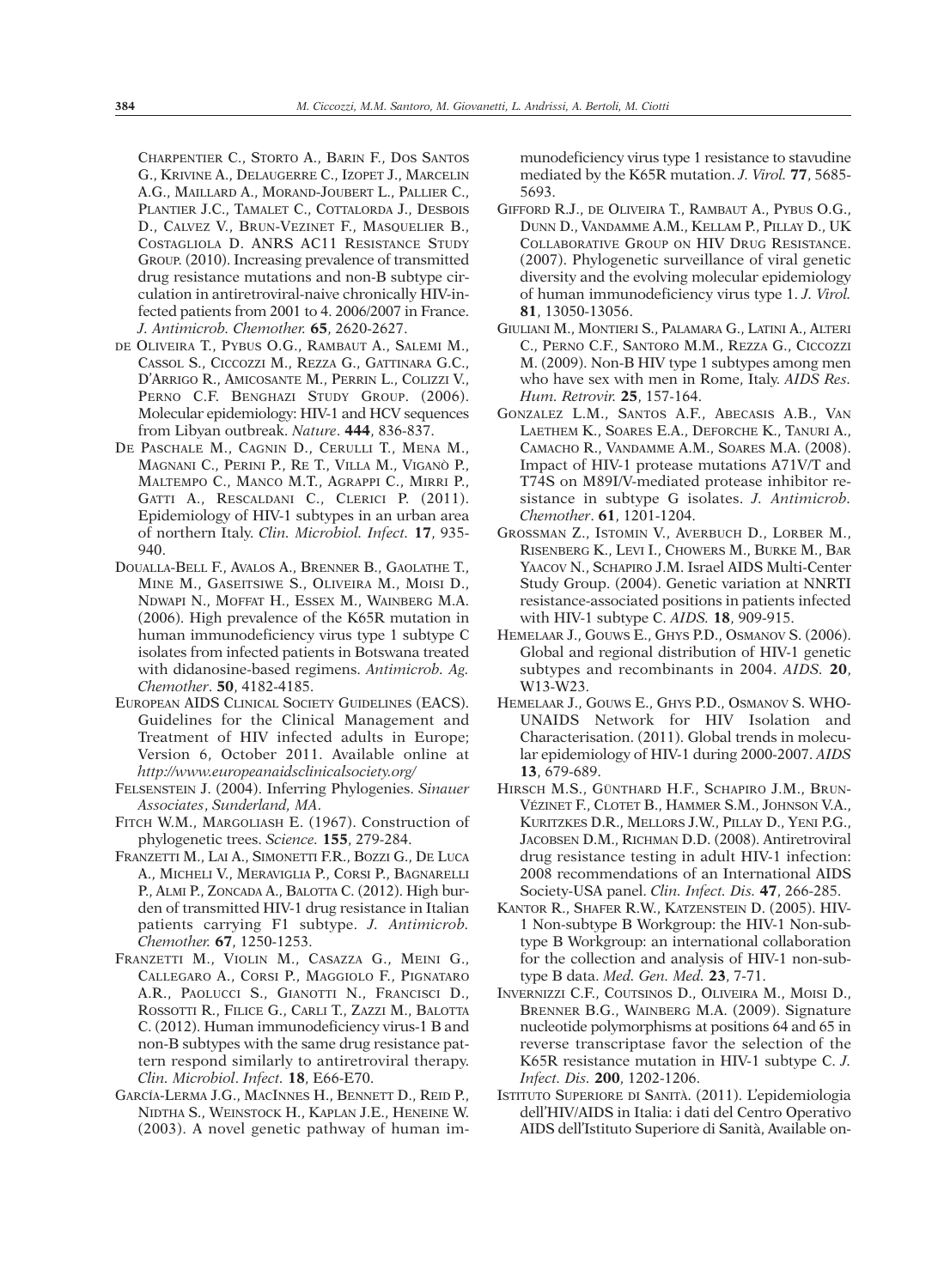CHARPENTIER C., STORTO A., BARIN F., DOS SANTOS G., KRIVINE A., DELAUGERRE C., IZOPET J., MARCELIN A.G., MAILLARD A., MORAND-JOUBERT L., PALLIER C., PLANTIER J.C., TAMALET C., COTTALORDA J., DESBOIS D., CALVEZ V., BRUN-VEZINET F., MASQUELIER B., COSTAGLIOLA D. ANRS AC11 RESISTANCE STUDY GROUP. (2010). Increasing prevalence of transmitted drug resistance mutations and non-B subtype circulation in antiretroviral-naive chronically HIV-infected patients from 2001 to 4. 2006/2007 in France. *J. Antimicrob. Chemother.* **65**, 2620-2627.

- DE OLIVEIRA T., PYBUS O.G., RAMBAUT A., SALEMI M., CASSOL S., CICCOZZI M., REZZA G., GATTINARA G.C., D'ARRIGO R., AMICOSANTE M., PERRIN L., COLIZZI V., PERNO C.F. BENGHAZI STUDY GROUP. (2006). Molecular epidemiology: HIV-1 and HCV sequences from Libyan outbreak. *Nature*. **444**, 836-837.
- DE PASCHALE M., CAGNIN D., CERULLI T., MENA M., MAGNANI C., PERINI P., RE T., VILLA M., VIGANÒ P., MALTEMPO C., MANCO M.T., AGRAPPI C., MIRRI P., GATTI A., RESCALDANI C., CLERICI P. (2011). Epidemiology of HIV-1 subtypes in an urban area of northern Italy. *Clin. Microbiol. Infect.* **17**, 935- 940.
- DOUALLA-BELL F., AVALOS A., BRENNER B., GAOLATHE T., MINE M., GASEITSIWE S., OLIVEIRA M., MOISI D., NDWAPI N., MOFFAT H., ESSEX M., WAINBERG M.A. (2006). High prevalence of the K65R mutation in human immunodeficiency virus type 1 subtype C isolates from infected patients in Botswana treated with didanosine-based regimens. *Antimicrob. Ag. Chemother*. **50**, 4182-4185.
- EUROPEAN AIDS CLINICAL SOCIETY GUIDELINES (EACS). Guidelines for the Clinical Management and Treatment of HIV infected adults in Europe; Version 6, October 2011. Available online at *http://www.europeanaidsclinicalsociety.org/*
- FELSENSTEIN J. (2004). Inferring Phylogenies. *Sinauer Associates*, *Sunderland, MA*.
- FITCH W.M., MARGOLIASH E. (1967). Construction of phylogenetic trees. *Science.* **155**, 279-284.
- FRANZETTI M., LAI A., SIMONETTI F.R., BOZZI G., DE LUCA A., MICHELI V., MERAVIGLIA P., CORSI P., BAGNARELLI P., ALMI P., ZONCADA A., BALOTTA C. (2012). High burden of transmitted HIV-1 drug resistance in Italian patients carrying F1 subtype. *J. Antimicrob. Chemother.* **67**, 1250-1253.
- FRANZETTI M., VIOLIN M., CASAZZA G., MEINI G., CALLEGARO A., CORSI P., MAGGIOLO F., PIGNATARO A.R., PAOLUCCI S., GIANOTTI N., FRANCISCI D., ROSSOTTI R., FILICE G., CARLI T., ZAZZI M., BALOTTA C. (2012). Human immunodeficiency virus-1 B and non-B subtypes with the same drug resistance pattern respond similarly to antiretroviral therapy. *Clin. Microbiol*. *Infect.* **18**, E66-E70.
- GARCÍA-LERMA J.G., MACINNES H., BENNETT D., REID P., NIDTHA S., WEINSTOCK H., KAPLAN J.E., HENEINE W. (2003). A novel genetic pathway of human im-

munodeficiency virus type 1 resistance to stavudine mediated by the K65R mutation. *J. Virol.* **77**, 5685- 5693.

- GIFFORD R.J., DE OLIVEIRA T., RAMBAUT A., PYBUS O.G., DUNN D., VANDAMME A.M., KELLAM P., PILLAY D., UK COLLABORATIVE GROUP ON HIV DRUG RESISTANCE. (2007). Phylogenetic surveillance of viral genetic diversity and the evolving molecular epidemiology of human immunodeficiency virus type 1. *J. Virol.* **81**, 13050-13056.
- GIULIANI M., MONTIERI S., PALAMARA G., LATINI A., ALTERI C., PERNO C.F., SANTORO M.M., REZZA G., CICCOZZI M. (2009). Non-B HIV type 1 subtypes among men who have sex with men in Rome, Italy. *AIDS Res. Hum. Retrovir.* **25**, 157-164.
- GONZALEZ L.M., SANTOS A.F., ABECASIS A.B., VAN LAETHEM K., SOARES E.A., DEFORCHE K., TANURI A., CAMACHO R., VANDAMME A.M., SOARES M.A. (2008). Impact of HIV-1 protease mutations A71V/T and T74S on M89I/V-mediated protease inhibitor resistance in subtype G isolates. *J. Antimicrob. Chemother*. **61**, 1201-1204.
- GROSSMAN Z., ISTOMIN V., AVERBUCH D., LORBER M., RISENBERG K., LEVI I., CHOWERS M., BURKE M., BAR YAACOV N., SCHAPIRO J.M. Israel AIDS Multi-Center Study Group. (2004). Genetic variation at NNRTI resistance-associated positions in patients infected with HIV-1 subtype C. *AIDS.* **18**, 909-915.
- HEMELAAR J., GOUWS E., GHYS P.D., OSMANOV S. (2006). Global and regional distribution of HIV-1 genetic subtypes and recombinants in 2004. *AIDS.* **20**, W13-W23.
- HEMELAAR J., GOUWS E., GHYS P.D., OSMANOV S. WHO-UNAIDS Network for HIV Isolation and Characterisation. (2011). Global trends in molecular epidemiology of HIV-1 during 2000-2007. *AIDS* **13**, 679-689.
- HIRSCH M.S., GÜNTHARD H.F., SCHAPIRO J.M., BRUN-VÉZINET F., CLOTET B., HAMMER S.M., JOHNSON V.A., KURITZKES D.R., MELLORS J.W., PILLAY D., YENI P.G., JACOBSEN D.M., RICHMAN D.D. (2008). Antiretroviral drug resistance testing in adult HIV-1 infection: 2008 recommendations of an International AIDS Society-USA panel. *Clin. Infect. Dis.* **47**, 266-285.
- KANTOR R., SHAFER R.W., KATZENSTEIN D. (2005). HIV-1 Non-subtype B Workgroup: the HIV-1 Non-subtype B Workgroup: an international collaboration for the collection and analysis of HIV-1 non-subtype B data. *Med. Gen. Med.* **23**, 7-71.
- INVERNIZZI C.F., COUTSINOS D., OLIVEIRA M., MOISI D., BRENNER B.G., WAINBERG M.A. (2009). Signature nucleotide polymorphisms at positions 64 and 65 in reverse transcriptase favor the selection of the K65R resistance mutation in HIV-1 subtype C. *J. Infect. Dis.* **200**, 1202-1206.
- ISTITUTO SUPERIORE DI SANITÀ. (2011). L'epidemiologia dell'HIV/AIDS in Italia: i dati del Centro Operativo AIDS dell'Istituto Superiore di Sanità, Available on-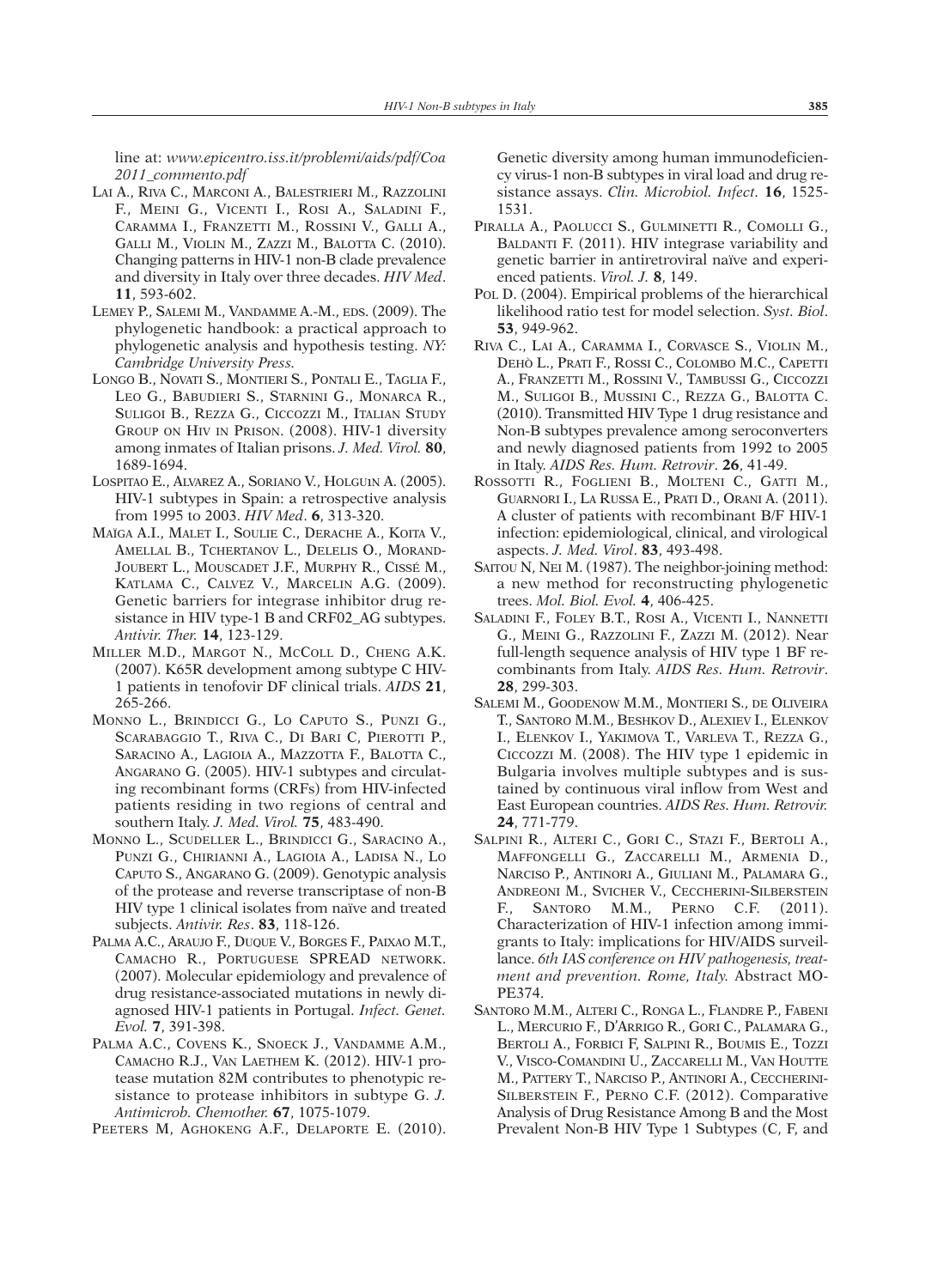line at: *www.epicentro.iss.it/problemi/aids/pdf/Coa 2011\_commento.pdf*

- LAI A., RIVA C., MARCONI A., BALESTRIERI M., RAZZOLINI F., MEINI G., VICENTI I., ROSI A., SALADINI F., CARAMMA I., FRANZETTI M., ROSSINI V., GALLI A., GALLI M., VIOLIN M., ZAZZI M., BALOTTA C. (2010). Changing patterns in HIV-1 non-B clade prevalence and diversity in Italy over three decades. *HIV Med*. **11**, 593-602.
- LEMEY P., SALEMI M., VANDAMME A.-M., EDS. (2009). The phylogenetic handbook: a practical approach to phylogenetic analysis and hypothesis testing. *NY: Cambridge University Press.*
- LONGO B., NOVATI S., MONTIERI S., PONTALI E., TAGLIA F., LEO G., BABUDIERI S., STARNINI G., MONARCA R., SULIGOI B., REZZA G., CICCOZZI M., ITALIAN STUDY GROUP ON HIV IN PRISON. (2008). HIV-1 diversity among inmates of Italian prisons. *J. Med. Virol.* **80**, 1689-1694.
- LOSPITAO E., ALVAREZ A., SORIANO V., HOLGUıN A. (2005). HIV-1 subtypes in Spain: a retrospective analysis from 1995 to 2003. *HIV Med*. **6**, 313-320.
- MAÏGA A.I., MALET I., SOULIE C., DERACHE A., KOITA V., AMELLAL B., TCHERTANOV L., DELELIS O., MORAND-JOUBERT L., MOUSCADET J.F., MURPHY R., CISSÉ M., KATLAMA C., CALVEZ V., MARCELIN A.G. (2009). Genetic barriers for integrase inhibitor drug resistance in HIV type-1 B and CRF02\_AG subtypes. *Antivir. Ther.* **14**, 123-129.
- MILLER M.D., MARGOT N., MCCOLL D., CHENG A.K. (2007). K65R development among subtype C HIV-1 patients in tenofovir DF clinical trials. *AIDS* **21**, 265-266.
- MONNO L., BRINDICCI G., LO CAPUTO S., PUNZI G., SCARABAGGIO T., RIVA C., DI BARI C, PIEROTTI P., SARACINO A., LAGIOIA A., MAZZOTTA F., BALOTTA C., ANGARANO G. (2005). HIV-1 subtypes and circulating recombinant forms (CRFs) from HIV-infected patients residing in two regions of central and southern Italy. *J. Med. Virol.* **75**, 483-490.
- MONNO L., SCUDELLER L., BRINDICCI G., SARACINO A., PUNZI G., CHIRIANNI A., LAGIOIA A., LADISA N., LO CAPUTO S., ANGARANO G. (2009). Genotypic analysis of the protease and reverse transcriptase of non-B HIV type 1 clinical isolates from naïve and treated subjects. *Antivir. Res*. **83**, 118-126.
- PALMA A.C., ARAUJO F., DUQUE V., BORGES F., PAIXAO M.T., CAMACHO R., PORTUGUESE SPREAD NETWORK. (2007). Molecular epidemiology and prevalence of drug resistance-associated mutations in newly diagnosed HIV-1 patients in Portugal. *Infect. Genet. Evol.* **7**, 391-398.
- PALMA A.C., COVENS K., SNOECK J., VANDAMME A.M., CAMACHO R.J., VAN LAETHEM K. (2012). HIV-1 protease mutation 82M contributes to phenotypic resistance to protease inhibitors in subtype G. *J. Antimicrob. Chemother.* **67**, 1075-1079.

PEETERS M, AGHOKENG A.F., DELAPORTE E. (2010).

Genetic diversity among human immunodeficiency virus-1 non-B subtypes in viral load and drug resistance assays. *Clin. Microbiol. Infect.* **16**, 1525- 1531.

- PIRALLA A., PAOLUCCI S., GULMINETTI R., COMOLLI G., BALDANTI F. (2011). HIV integrase variability and genetic barrier in antiretroviral naïve and experienced patients. *Virol. J.* **8**, 149.
- POL D. (2004). Empirical problems of the hierarchical likelihood ratio test for model selection. *Syst. Biol*. **53**, 949-962.
- RIVA C., LAI A., CARAMMA I., CORVASCE S., VIOLIN M., DEHÒ L., PRATI F., ROSSI C., COLOMBO M.C., CAPETTI A., FRANZETTI M., ROSSINI V., TAMBUSSI G., CICCOZZI M., SULIGOI B., MUSSINI C., REZZA G., BALOTTA C. (2010). Transmitted HIV Type 1 drug resistance and Non-B subtypes prevalence among seroconverters and newly diagnosed patients from 1992 to 2005 in Italy. *AIDS Res. Hum. Retrovir*. **26**, 41-49.
- ROSSOTTI R., FOGLIENI B., MOLTENI C., GATTI M., GUARNORI I., LA RUSSA E., PRATI D., ORANI A. (2011). A cluster of patients with recombinant B/F HIV-1 infection: epidemiological, clinical, and virological aspects. *J. Med. Virol*. **83**, 493-498.
- SAITOU N, NEI M. (1987). The neighbor-joining method: a new method for reconstructing phylogenetic trees. *Mol. Biol. Evol.* **4**, 406-425.
- SALADINI F., FOLEY B.T., ROSI A., VICENTI I., NANNETTI G., MEINI G., RAZZOLINI F., ZAZZI M. (2012). Near full-length sequence analysis of HIV type 1 BF recombinants from Italy. *AIDS Res. Hum. Retrovir*. **28**, 299-303.
- SALEMI M., GOODENOW M.M., MONTIERI S., DE OLIVEIRA T., SANTORO M.M., BESHKOV D., ALEXIEV I., ELENKOV I., ELENKOV I., YAKIMOVA T., VARLEVA T., REZZA G., CICCOZZI M. (2008). The HIV type 1 epidemic in Bulgaria involves multiple subtypes and is sustained by continuous viral inflow from West and East European countries. *AIDS Res. Hum. Retrovir.* **24**, 771-779.
- SALPINI R., ALTERI C., GORI C., STAZI F., BERTOLI A., MAFFONGELLI G., ZACCARELLI M., ARMENIA D., NARCISO P., ANTINORI A., GIULIANI M., PALAMARA G., ANDREONI M., SVICHER V., CECCHERINI-SILBERSTEIN F., SANTORO M.M., PERNO C.F. (2011). Characterization of HIV-1 infection among immigrants to Italy: implications for HIV/AIDS surveillance. *6th IAS conference on HIV pathogenesis, treatment and prevention. Rome, Italy.* Abstract MO-PE374.
- SANTORO M.M., ALTERI C., RONGA L., FLANDRE P., FABENI L., MERCURIO F., D'ARRIGO R., GORI C., PALAMARA G., BERTOLI A., FORBICI F, SALPINI R., BOUMIS E., TOZZI V., VISCO-COMANDINI U., ZACCARELLI M., VAN HOUTTE M., PATTERY T., NARCISO P., ANTINORI A., CECCHERINI-SILBERSTEIN F., PERNO C.F. (2012). Comparative Analysis of Drug Resistance Among B and the Most Prevalent Non-B HIV Type 1 Subtypes (C, F, and